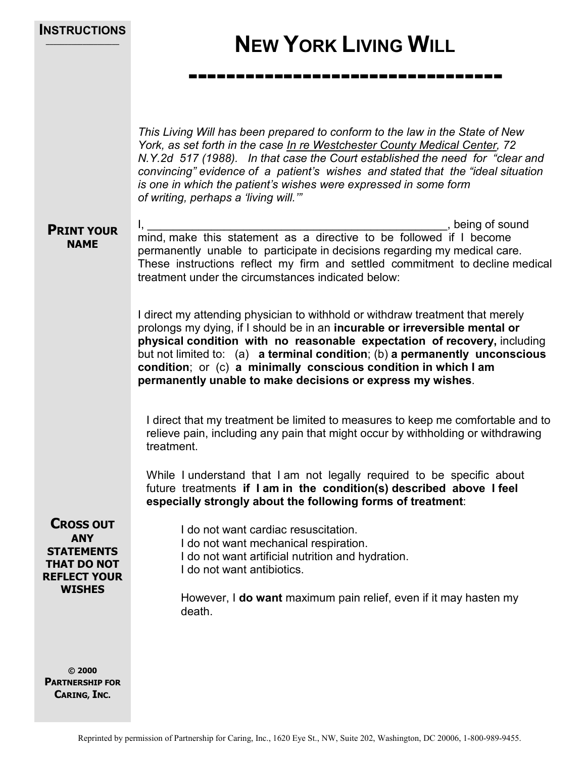| <b>INSTRUCTIONS</b> |
|---------------------|
|---------------------|

## **NEW YORK LIVING WILL**

**---------------------------------**

*This Living Will has been prepared to conform to the law in the State of New York, as set forth in the case In re Westchester County Medical Center, 72 N.Y.2d 517 (1988). In that case the Court established the need for "clear and convincing" evidence of a patient's wishes and stated that the "ideal situation is one in which the patient's wishes were expressed in some form of writing, perhaps a 'living will.'"*

## **PRINT YOUR NAME**

I, the contract of the contract of the contract of the contract of the contract of sound  $\sim$ mind, make this statement as a directive to be followed if I become permanently unable to participate in decisions regarding my medical care. These instructions reflect my firm and settled commitment to decline medical treatment under the circumstances indicated below:

I direct my attending physician to withhold or withdraw treatment that merely prolongs my dying, if I should be in an **incurable or irreversible mental or physical condition with no reasonable expectation of recovery,** including but not limited to: (a) **a terminal condition**; (b) **a permanently unconscious condition**; or (c) **a minimally conscious condition in which I am permanently unable to make decisions or express my wishes**.

I direct that my treatment be limited to measures to keep me comfortable and to relieve pain, including any pain that might occur by withholding or withdrawing treatment.

While I understand that I am not legally required to be specific about future treatments **if I am in the condition(s) described above I feel especially strongly about the following forms of treatment**:

**CROSS OUT ANY STATEMENTS THAT DO NOT REFLECT YOUR WISHES**

Reprinted by permission of Partnership for Caring, Inc., 1620 Eye St., NW, Suite 202, Washington, DC 20006, 1-800-989-9455. **© 2000 PARTNERSHIP FOR CARING, INC.**

I do not want cardiac resuscitation. I do not want mechanical respiration. I do not want artificial nutrition and hydration. I do not want antibiotics.

However, I **do want** maximum pain relief, even if it may hasten my death.